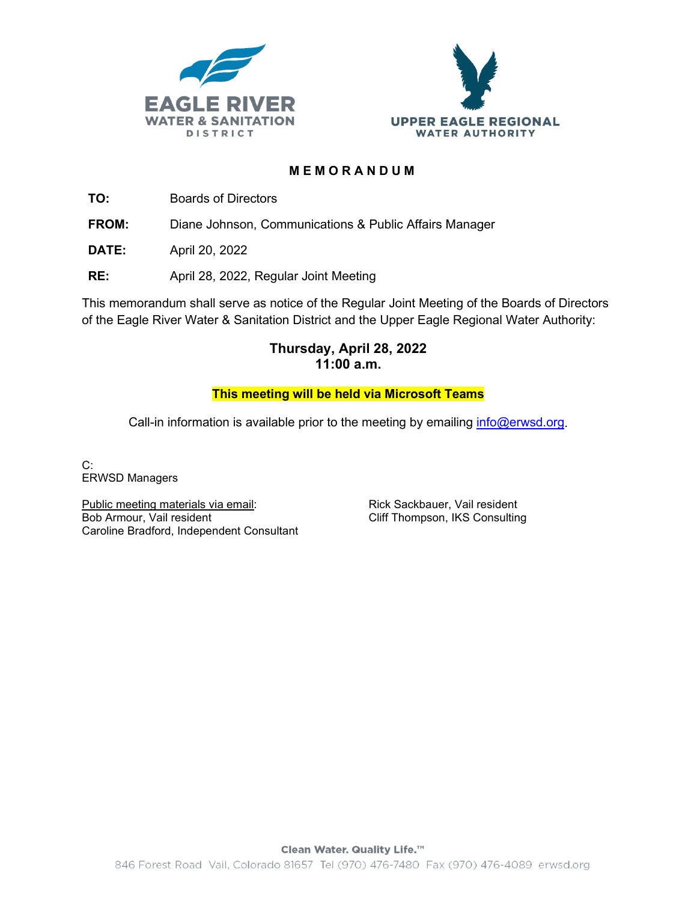



### **MEMORANDUM**

**TO:** Boards of Directors

**FROM:** Diane Johnson, Communications & Public Affairs Manager

**DATE:** April 20, 2022

**RE:** April 28, 2022, Regular Joint Meeting

This memorandum shall serve as notice of the Regular Joint Meeting of the Boards of Directors of the Eagle River Water & Sanitation District and the Upper Eagle Regional Water Authority:

## **Thursday, April 28, 2022 11:00 a.m.**

### **This meeting will be held via Microsoft Teams**

Call-in information is available prior to the meeting by emailing  $info@erwd.org$ .

C: ERWSD Managers

Public meeting materials via email: Bob Armour, Vail resident Caroline Bradford, Independent Consultant Rick Sackbauer, Vail resident Cliff Thompson, IKS Consulting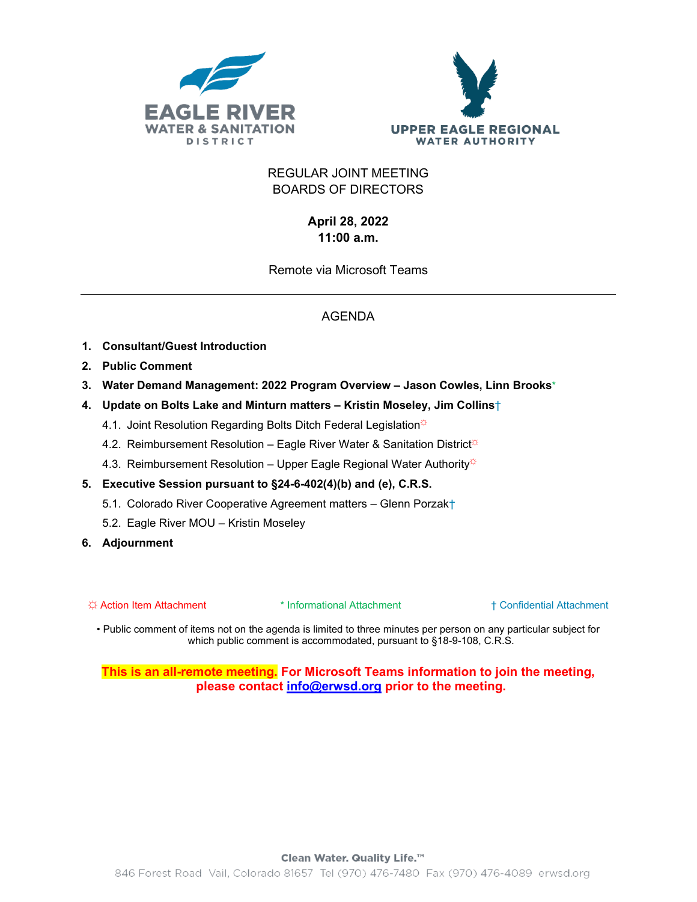



### REGULAR JOINT MEETING BOARDS OF DIRECTORS

## **April 28, 2022 11:00 a.m.**

Remote via Microsoft Teams

# AGENDA

- **1. Consultant/Guest Introduction**
- **2. Public Comment**
- **3. Water Demand Management: 2022 Program Overview – Jason Cowles, Linn Brooks**\*
- **4. Update on Bolts Lake and Minturn matters – Kristin Moseley, Jim Collins**†
	- 4.1. Joint Resolution Regarding Bolts Ditch Federal Legislation<sup>\*</sup>
	- 4.2. Reimbursement Resolution Eagle River Water & Sanitation District $\ddot{\varphi}$
	- 4.3. Reimbursement Resolution Upper Eagle Regional Water Authority $\ddot{\varphi}$
- **5. Executive Session pursuant to §24-6-402(4)(b) and (e), C.R.S.**
	- 5.1. Colorado River Cooperative Agreement matters Glenn Porzak†
	- 5.2. Eagle River MOU Kristin Moseley
- **6. Adjournment**

☼ Action Item Attachment \* Informational Attachment † Confidential Attachment

• Public comment of items not on the agenda is limited to three minutes per person on any particular subject for which public comment is accommodated, pursuant to §18-9-108, C.R.S.

**This is an all-remote meeting. For Microsoft Teams information to join the meeting, please contact [info@erwsd.org](mailto:bdoliboa@erwsd.org) prior to the meeting.**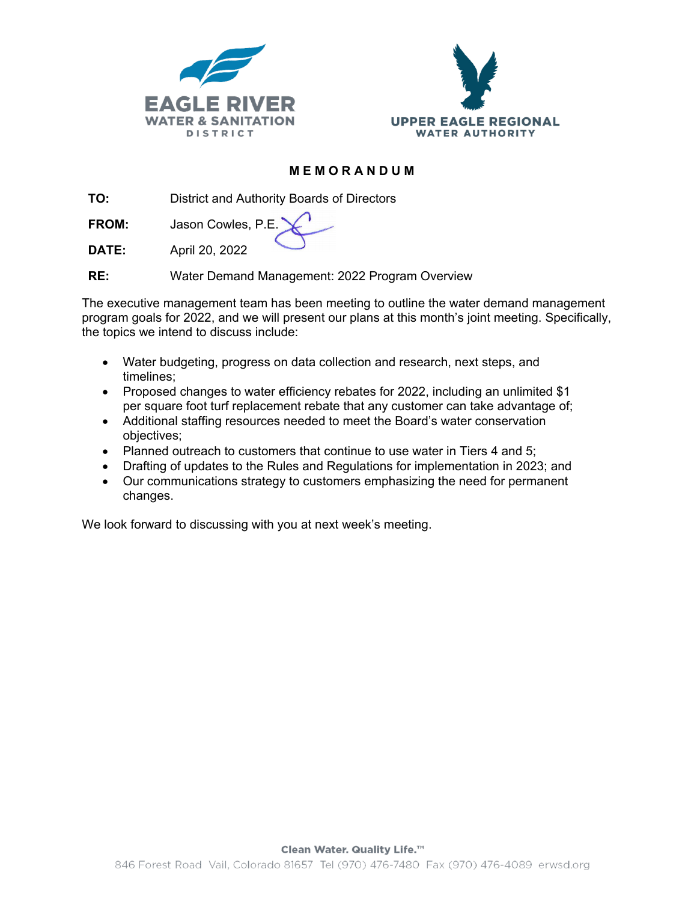



### **MEMORANDUM**

**TO:** District and Authority Boards of Directors

**FROM:** Jason Cowles, P.E.

**DATE:** April 20, 2022

**RE:** Water Demand Management: 2022 Program Overview

The executive management team has been meeting to outline the water demand management program goals for 2022, and we will present our plans at this month's joint meeting. Specifically, the topics we intend to discuss include:

- Water budgeting, progress on data collection and research, next steps, and timelines;
- Proposed changes to water efficiency rebates for 2022, including an unlimited \$1 per square foot turf replacement rebate that any customer can take advantage of;
- Additional staffing resources needed to meet the Board's water conservation objectives;
- Planned outreach to customers that continue to use water in Tiers 4 and 5;
- Drafting of updates to the Rules and Regulations for implementation in 2023; and
- Our communications strategy to customers emphasizing the need for permanent changes.

We look forward to discussing with you at next week's meeting.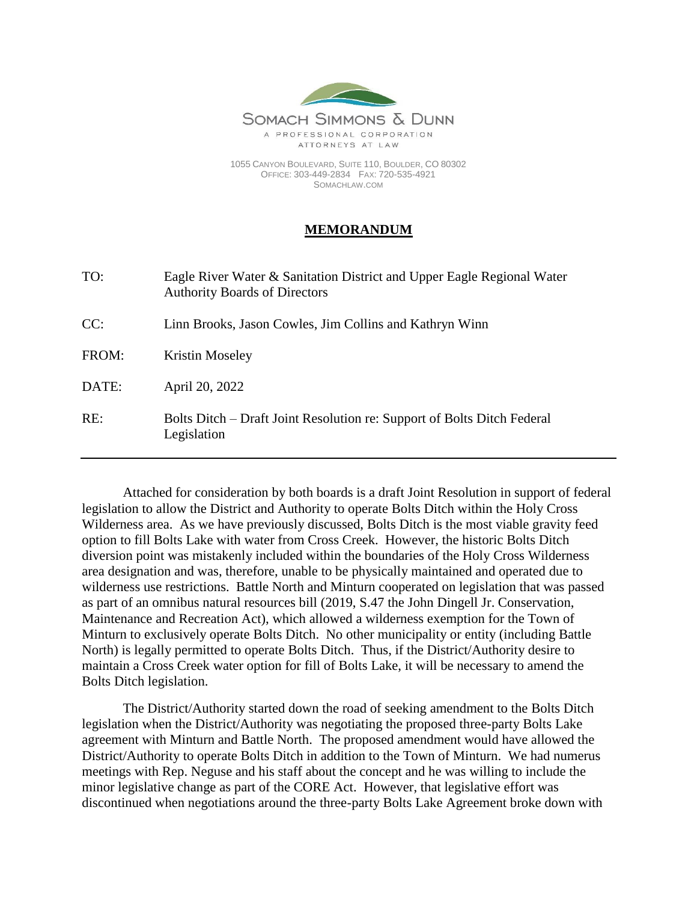

1055 CANYON BOULEVARD, SUITE 110, BOULDER, CO 80302 OFFICE: 303-449-2834 FAX: 720-535-4921 SOMACHLAW.COM

# **MEMORANDUM**

| TO:   | Eagle River Water & Sanitation District and Upper Eagle Regional Water<br><b>Authority Boards of Directors</b> |
|-------|----------------------------------------------------------------------------------------------------------------|
| CC:   | Linn Brooks, Jason Cowles, Jim Collins and Kathryn Winn                                                        |
| FROM: | Kristin Moseley                                                                                                |
| DATE: | April 20, 2022                                                                                                 |
| RE:   | Bolts Ditch – Draft Joint Resolution re: Support of Bolts Ditch Federal<br>Legislation                         |

Attached for consideration by both boards is a draft Joint Resolution in support of federal legislation to allow the District and Authority to operate Bolts Ditch within the Holy Cross Wilderness area. As we have previously discussed, Bolts Ditch is the most viable gravity feed option to fill Bolts Lake with water from Cross Creek. However, the historic Bolts Ditch diversion point was mistakenly included within the boundaries of the Holy Cross Wilderness area designation and was, therefore, unable to be physically maintained and operated due to wilderness use restrictions. Battle North and Minturn cooperated on legislation that was passed as part of an omnibus natural resources bill (2019, S.47 the John Dingell Jr. Conservation, Maintenance and Recreation Act), which allowed a wilderness exemption for the Town of Minturn to exclusively operate Bolts Ditch. No other municipality or entity (including Battle North) is legally permitted to operate Bolts Ditch. Thus, if the District/Authority desire to maintain a Cross Creek water option for fill of Bolts Lake, it will be necessary to amend the Bolts Ditch legislation.

The District/Authority started down the road of seeking amendment to the Bolts Ditch legislation when the District/Authority was negotiating the proposed three-party Bolts Lake agreement with Minturn and Battle North. The proposed amendment would have allowed the District/Authority to operate Bolts Ditch in addition to the Town of Minturn. We had numerus meetings with Rep. Neguse and his staff about the concept and he was willing to include the minor legislative change as part of the CORE Act. However, that legislative effort was discontinued when negotiations around the three-party Bolts Lake Agreement broke down with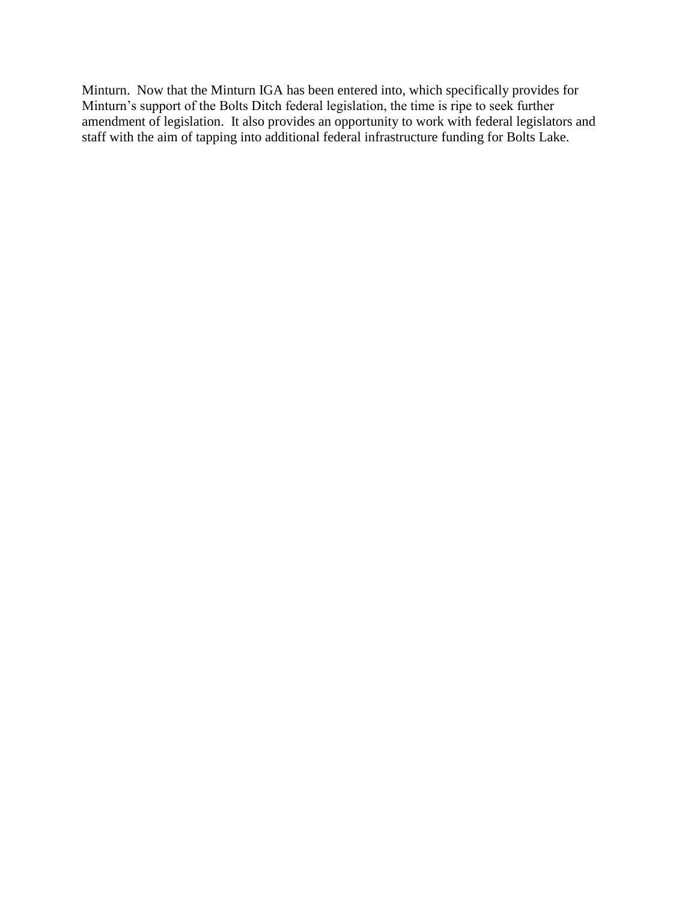Minturn. Now that the Minturn IGA has been entered into, which specifically provides for Minturn's support of the Bolts Ditch federal legislation, the time is ripe to seek further amendment of legislation. It also provides an opportunity to work with federal legislators and staff with the aim of tapping into additional federal infrastructure funding for Bolts Lake.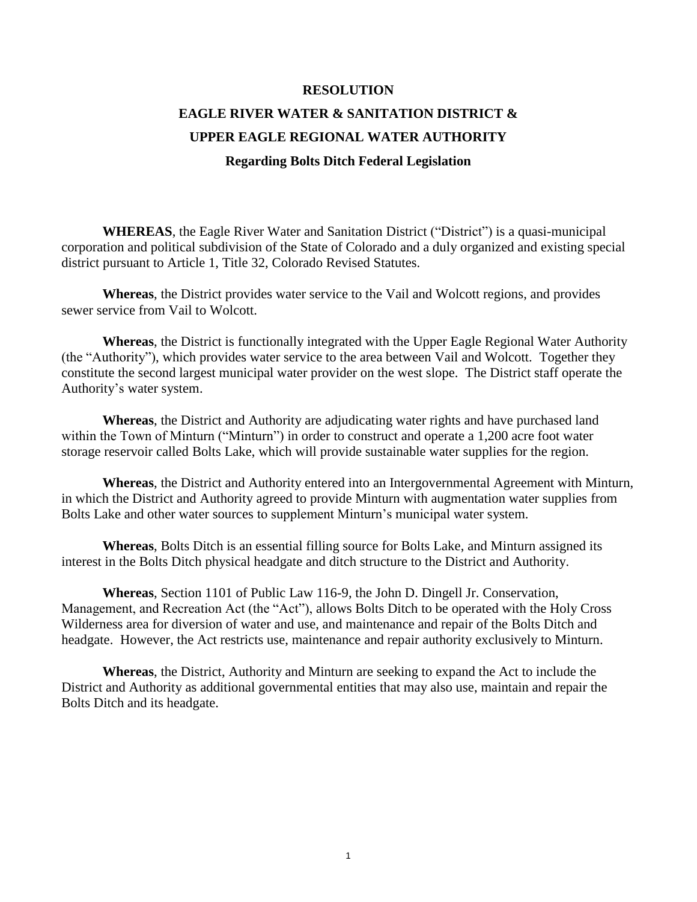# **RESOLUTION EAGLE RIVER WATER & SANITATION DISTRICT & UPPER EAGLE REGIONAL WATER AUTHORITY Regarding Bolts Ditch Federal Legislation**

**WHEREAS**, the Eagle River Water and Sanitation District ("District") is a quasi-municipal corporation and political subdivision of the State of Colorado and a duly organized and existing special district pursuant to Article 1, Title 32, Colorado Revised Statutes.

**Whereas**, the District provides water service to the Vail and Wolcott regions, and provides sewer service from Vail to Wolcott.

**Whereas**, the District is functionally integrated with the Upper Eagle Regional Water Authority (the "Authority"), which provides water service to the area between Vail and Wolcott. Together they constitute the second largest municipal water provider on the west slope. The District staff operate the Authority's water system.

**Whereas**, the District and Authority are adjudicating water rights and have purchased land within the Town of Minturn ("Minturn") in order to construct and operate a 1,200 acre foot water storage reservoir called Bolts Lake, which will provide sustainable water supplies for the region.

**Whereas**, the District and Authority entered into an Intergovernmental Agreement with Minturn, in which the District and Authority agreed to provide Minturn with augmentation water supplies from Bolts Lake and other water sources to supplement Minturn's municipal water system.

**Whereas**, Bolts Ditch is an essential filling source for Bolts Lake, and Minturn assigned its interest in the Bolts Ditch physical headgate and ditch structure to the District and Authority.

**Whereas**, Section 1101 of Public Law 116-9, the John D. Dingell Jr. Conservation, Management, and Recreation Act (the "Act"), allows Bolts Ditch to be operated with the Holy Cross Wilderness area for diversion of water and use, and maintenance and repair of the Bolts Ditch and headgate. However, the Act restricts use, maintenance and repair authority exclusively to Minturn.

**Whereas**, the District, Authority and Minturn are seeking to expand the Act to include the District and Authority as additional governmental entities that may also use, maintain and repair the Bolts Ditch and its headgate.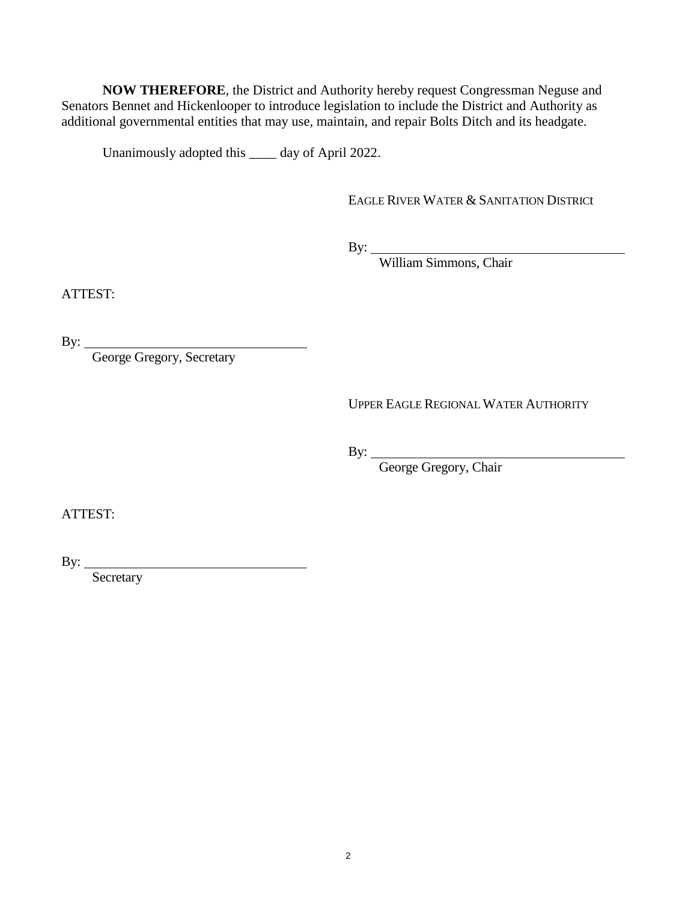**NOW THEREFORE**, the District and Authority hereby request Congressman Neguse and Senators Bennet and Hickenlooper to introduce legislation to include the District and Authority as additional governmental entities that may use, maintain, and repair Bolts Ditch and its headgate.

Unanimously adopted this \_\_\_\_ day of April 2022.

EAGLE RIVER WATER & SANITATION DISTRICt

By:

William Simmons, Chair

ATTEST:

By:

George Gregory, Secretary

UPPER EAGLE REGIONAL WATER AUTHORITY

By:

George Gregory, Chair

ATTEST:

By:  $\frac{1}{\sqrt{1-\frac{1}{2}(\frac{1}{2}+\frac{1}{2})}}$ Secretary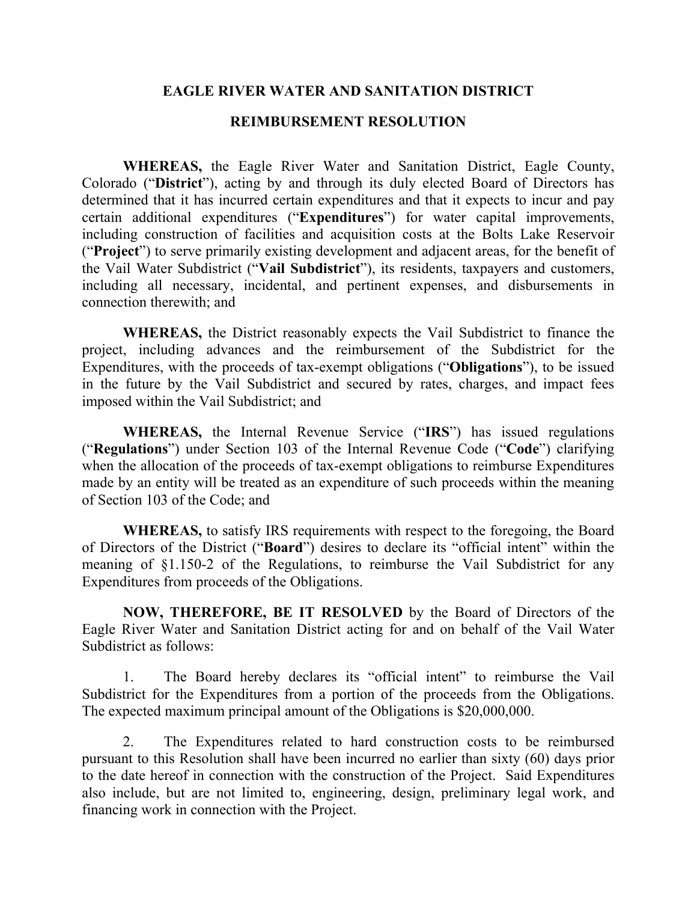## **EAGLE RIVER WATER AND SANITATION DISTRICT**

### **REIMBURSEMENT RESOLUTION**

**WHEREAS,** the Eagle River Water and Sanitation District, Eagle County, Colorado ("**District**"), acting by and through its duly elected Board of Directors has determined that it has incurred certain expenditures and that it expects to incur and pay certain additional expenditures ("**Expenditures**") for water capital improvements, including construction of facilities and acquisition costs at the Bolts Lake Reservoir ("**Project**") to serve primarily existing development and adjacent areas, for the benefit of the Vail Water Subdistrict ("**Vail Subdistrict**"), its residents, taxpayers and customers, including all necessary, incidental, and pertinent expenses, and disbursements in connection therewith; and

**WHEREAS,** the District reasonably expects the Vail Subdistrict to finance the project, including advances and the reimbursement of the Subdistrict for the Expenditures, with the proceeds of tax-exempt obligations ("**Obligations**"), to be issued in the future by the Vail Subdistrict and secured by rates, charges, and impact fees imposed within the Vail Subdistrict; and

**WHEREAS,** the Internal Revenue Service ("**IRS**") has issued regulations ("**Regulations**") under Section 103 of the Internal Revenue Code ("**Code**") clarifying when the allocation of the proceeds of tax-exempt obligations to reimburse Expenditures made by an entity will be treated as an expenditure of such proceeds within the meaning of Section 103 of the Code; and

**WHEREAS,** to satisfy IRS requirements with respect to the foregoing, the Board of Directors of the District ("**Board**") desires to declare its "official intent" within the meaning of §1.150-2 of the Regulations, to reimburse the Vail Subdistrict for any Expenditures from proceeds of the Obligations.

**NOW, THEREFORE, BE IT RESOLVED** by the Board of Directors of the Eagle River Water and Sanitation District acting for and on behalf of the Vail Water Subdistrict as follows:

1. The Board hereby declares its "official intent" to reimburse the Vail Subdistrict for the Expenditures from a portion of the proceeds from the Obligations. The expected maximum principal amount of the Obligations is \$20,000,000.

2. The Expenditures related to hard construction costs to be reimbursed pursuant to this Resolution shall have been incurred no earlier than sixty (60) days prior to the date hereof in connection with the construction of the Project. Said Expenditures also include, but are not limited to, engineering, design, preliminary legal work, and financing work in connection with the Project.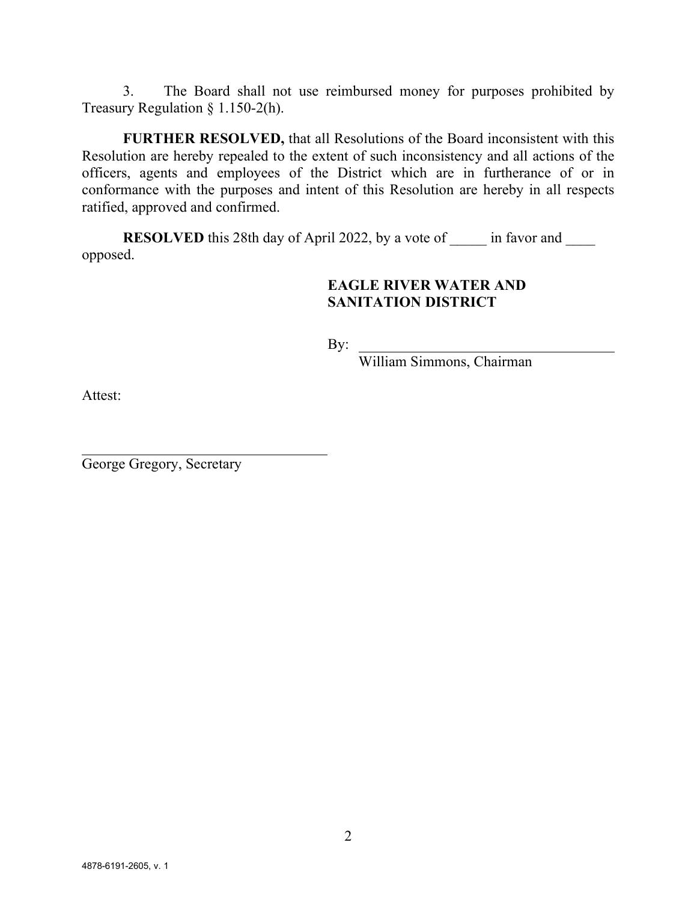3. The Board shall not use reimbursed money for purposes prohibited by Treasury Regulation § 1.150-2(h).

**FURTHER RESOLVED,** that all Resolutions of the Board inconsistent with this Resolution are hereby repealed to the extent of such inconsistency and all actions of the officers, agents and employees of the District which are in furtherance of or in conformance with the purposes and intent of this Resolution are hereby in all respects ratified, approved and confirmed.

**RESOLVED** this 28th day of April 2022, by a vote of \_\_\_\_\_ in favor and opposed.

# **EAGLE RIVER WATER AND SANITATION DISTRICT**

By:

William Simmons, Chairman

Attest:

George Gregory, Secretary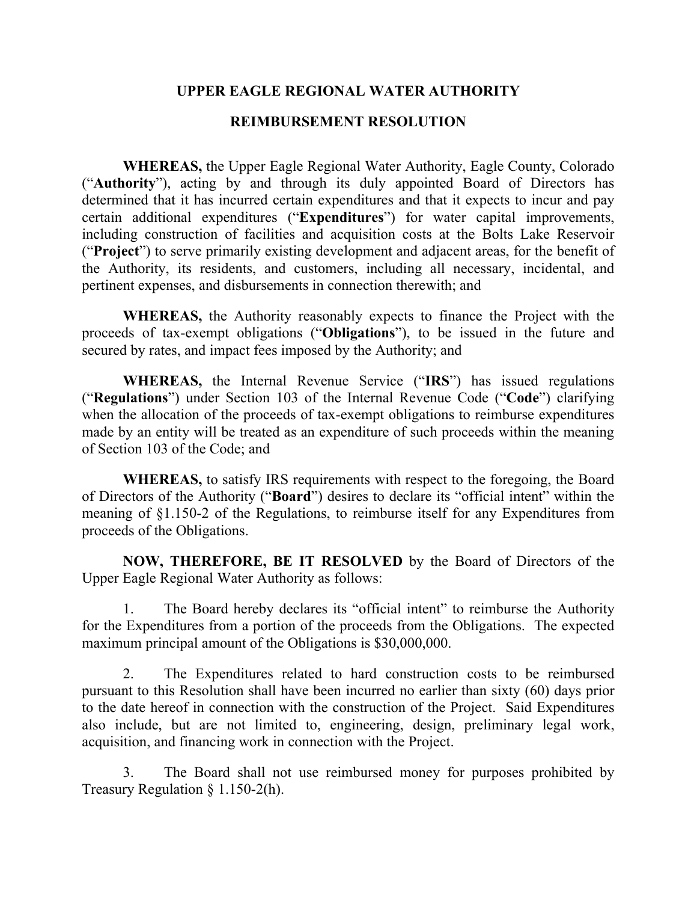## **UPPER EAGLE REGIONAL WATER AUTHORITY**

### **REIMBURSEMENT RESOLUTION**

**WHEREAS,** the Upper Eagle Regional Water Authority, Eagle County, Colorado ("**Authority**"), acting by and through its duly appointed Board of Directors has determined that it has incurred certain expenditures and that it expects to incur and pay certain additional expenditures ("**Expenditures**") for water capital improvements, including construction of facilities and acquisition costs at the Bolts Lake Reservoir ("**Project**") to serve primarily existing development and adjacent areas, for the benefit of the Authority, its residents, and customers, including all necessary, incidental, and pertinent expenses, and disbursements in connection therewith; and

**WHEREAS,** the Authority reasonably expects to finance the Project with the proceeds of tax-exempt obligations ("**Obligations**"), to be issued in the future and secured by rates, and impact fees imposed by the Authority; and

**WHEREAS,** the Internal Revenue Service ("**IRS**") has issued regulations ("**Regulations**") under Section 103 of the Internal Revenue Code ("**Code**") clarifying when the allocation of the proceeds of tax-exempt obligations to reimburse expenditures made by an entity will be treated as an expenditure of such proceeds within the meaning of Section 103 of the Code; and

**WHEREAS,** to satisfy IRS requirements with respect to the foregoing, the Board of Directors of the Authority ("**Board**") desires to declare its "official intent" within the meaning of §1.150-2 of the Regulations, to reimburse itself for any Expenditures from proceeds of the Obligations.

**NOW, THEREFORE, BE IT RESOLVED** by the Board of Directors of the Upper Eagle Regional Water Authority as follows:

1. The Board hereby declares its "official intent" to reimburse the Authority for the Expenditures from a portion of the proceeds from the Obligations. The expected maximum principal amount of the Obligations is \$30,000,000.

2. The Expenditures related to hard construction costs to be reimbursed pursuant to this Resolution shall have been incurred no earlier than sixty (60) days prior to the date hereof in connection with the construction of the Project. Said Expenditures also include, but are not limited to, engineering, design, preliminary legal work, acquisition, and financing work in connection with the Project.

3. The Board shall not use reimbursed money for purposes prohibited by Treasury Regulation § 1.150-2(h).